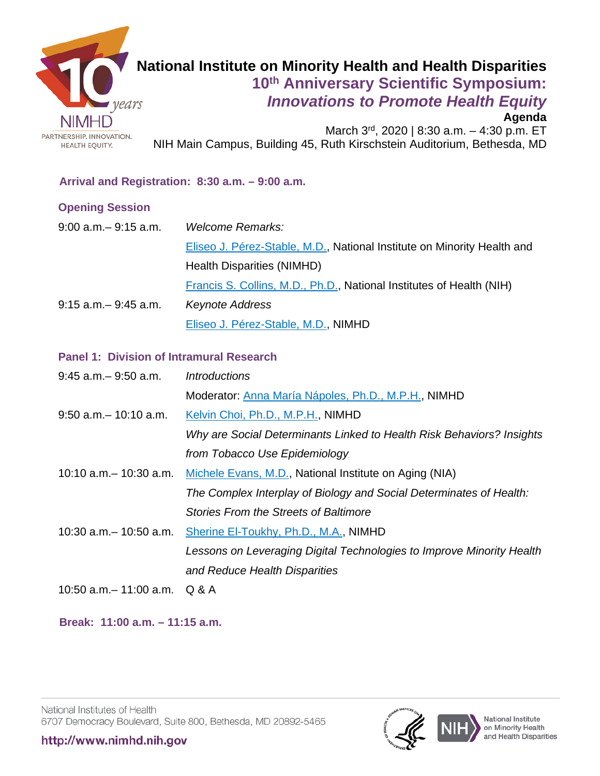

# **National Institute on Minority Health and Health Disparities 10th Anniversary Scientific Symposium:** *Innovations to Promote Health Equity*

#### **Agenda**

March 3rd, 2020 | 8:30 a.m. - 4:30 p.m. ET NIH Main Campus, Building 45, Ruth Kirschstein Auditorium, Bethesda, MD

#### **Arrival and Registration: 8:30 a.m. – 9:00 a.m.**

#### **Opening Session**

| $9:00$ a.m. $-9:15$ a.m. | Welcome Remarks:                                                        |
|--------------------------|-------------------------------------------------------------------------|
|                          | Eliseo J. Pérez-Stable, M.D., National Institute on Minority Health and |
|                          | Health Disparities (NIMHD)                                              |
|                          | Francis S. Collins, M.D., Ph.D., National Institutes of Health (NIH)    |
| $9:15$ a.m. $-9:45$ a.m. | <b>Keynote Address</b>                                                  |
|                          | Eliseo J. Pérez-Stable, M.D., NIMHD                                     |

#### **Panel 1: Division of Intramural Research**

| $9:45$ a.m. $-9:50$ a.m.      | <i><u><b>Introductions</b></u></i>                                    |
|-------------------------------|-----------------------------------------------------------------------|
|                               | Moderator: Anna María Nápoles, Ph.D., M.P.H., NIMHD                   |
| $9:50$ a.m. $-10:10$ a.m.     | Kelvin Choi, Ph.D., M.P.H., NIMHD                                     |
|                               | Why are Social Determinants Linked to Health Risk Behaviors? Insights |
|                               | from Tobacco Use Epidemiology                                         |
| $10:10$ a.m. $-10:30$ a.m.    | Michele Evans, M.D., National Institute on Aging (NIA)                |
|                               | The Complex Interplay of Biology and Social Determinates of Health:   |
|                               | <b>Stories From the Streets of Baltimore</b>                          |
| $10:30$ a.m. $-10:50$ a.m.    | Sherine El-Toukhy, Ph.D., M.A., NIMHD                                 |
|                               | Lessons on Leveraging Digital Technologies to Improve Minority Health |
|                               | and Reduce Health Disparities                                         |
| 10:50 a.m. - 11:00 a.m. Q & A |                                                                       |

 **Break: 11:00 a.m. – 11:15 a.m.**

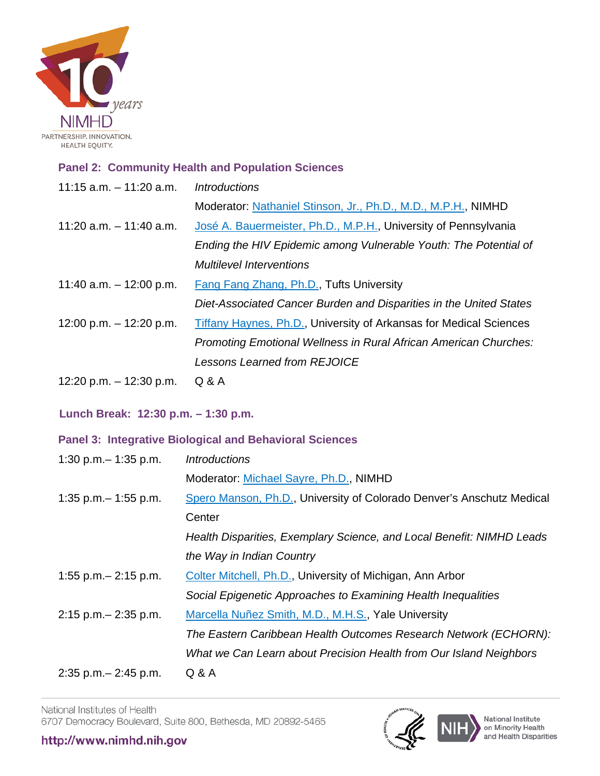

#### **Panel 2: Community Health and Population Sciences**

| 11:15 $a.m. - 11:20$ $a.m.$ | <i><b>Introductions</b></i>                                        |
|-----------------------------|--------------------------------------------------------------------|
|                             | Moderator: Nathaniel Stinson, Jr., Ph.D., M.D., M.P.H., NIMHD      |
| 11:20 a.m. $-$ 11:40 a.m.   | José A. Bauermeister, Ph.D., M.P.H., University of Pennsylvania    |
|                             | Ending the HIV Epidemic among Vulnerable Youth: The Potential of   |
|                             | <b>Multilevel Interventions</b>                                    |
| 11:40 a.m. $-$ 12:00 p.m.   | <b>Fang Fang Zhang, Ph.D., Tufts University</b>                    |
|                             | Diet-Associated Cancer Burden and Disparities in the United States |
| 12:00 p.m. $-$ 12:20 p.m.   | Tiffany Haynes, Ph.D., University of Arkansas for Medical Sciences |
|                             | Promoting Emotional Wellness in Rural African American Churches:   |
|                             | <b>Lessons Learned from REJOICE</b>                                |
| 12:20 p.m. $-$ 12:30 p.m.   | Q & A                                                              |

 **Lunch Break: 12:30 p.m. – 1:30 p.m.** 

#### **Panel 3: Integrative Biological and Behavioral Sciences**

| 1:30 p.m. $-$ 1:35 p.m.  | <i><u><b>Introductions</b></u></i>                                    |
|--------------------------|-----------------------------------------------------------------------|
|                          | Moderator: Michael Sayre, Ph.D., NIMHD                                |
| 1:35 p.m. $-$ 1:55 p.m.  | Spero Manson, Ph.D., University of Colorado Denver's Anschutz Medical |
|                          | Center                                                                |
|                          | Health Disparities, Exemplary Science, and Local Benefit: NIMHD Leads |
|                          | the Way in Indian Country                                             |
| 1:55 p.m. $-$ 2:15 p.m.  | Colter Mitchell, Ph.D., University of Michigan, Ann Arbor             |
|                          | Social Epigenetic Approaches to Examining Health Inequalities         |
| $2:15$ p.m. $-2:35$ p.m. | Marcella Nuñez Smith, M.D., M.H.S., Yale University                   |
|                          | The Eastern Caribbean Health Outcomes Research Network (ECHORN):      |
|                          | What we Can Learn about Precision Health from Our Island Neighbors    |
| $2:35$ p.m. $-2:45$ p.m. | Q & A                                                                 |

National Institutes of Health 6707 Democracy Boulevard, Suite 800, Bethesda, MD 20892-5465



National Institute<br>on Minority Health<br>and Health Disparities

### http://www.nimhd.nih.gov